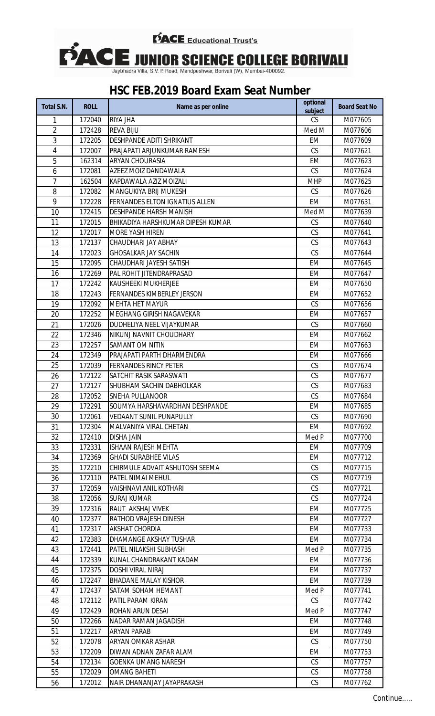

| Total S.N.     | <b>ROLL</b>      | Name as per online                                 | optional<br>subject | <b>Board Seat No</b> |
|----------------|------------------|----------------------------------------------------|---------------------|----------------------|
| 1              | 172040           | RIYA JHA                                           | CS                  | M077605              |
| $\overline{2}$ | 172428           | <b>REVA BIJU</b>                                   | Med M               | M077606              |
| 3              | 172205           | DESHPANDE ADITI SHRIKANT                           | <b>EM</b>           | M077609              |
| $\overline{4}$ | 172007           | PRAJAPATI ARJUNKUMAR RAMESH                        | CS                  | M077621              |
| 5              | 162314           | ARYAN CHOURASIA                                    | <b>EM</b>           | M077623              |
| 6              | 172081           | AZEEZ MOIZ DANDAWALA                               | CS                  | M077624              |
| $\overline{7}$ | 162504           | KAPDAWALA AZIZ MOIZALI                             | <b>MHP</b>          | M077625              |
| 8              | 172082           | MANGUKIYA BRIJ MUKESH                              | CS                  | M077626              |
| 9              | 172228           | FERNANDES ELTON IGNATIUS ALLEN                     | <b>EM</b>           | M077631              |
| 10             | 172415           | DESHPANDE HARSH MANISH                             | Med M               | M077639              |
| 11             | 172015           | BHIKADIYA HARSHKUMAR DIPESH KUMAR                  | CS                  | M077640              |
| 12             | 172017           | MORE YASH HIREN                                    | CS                  | M077641              |
| 13             | 172137           | CHAUDHARI JAY ABHAY                                | CS                  | M077643              |
| 14             | 172023           | <b>GHOSALKAR JAY SACHIN</b>                        | CS                  | M077644              |
| 15             | 172095           | CHAUDHARI JAYESH SATISH                            | <b>EM</b>           | M077645              |
| 16             | 172269           | PAL ROHIT JITENDRAPRASAD                           | <b>EM</b>           | M077647              |
| 17             | 172242           | KAUSHEEKI MUKHERJEE                                | <b>EM</b>           | M077650              |
| 18             | 172243           | FERNANDES KIMBERLEY JERSON                         | EM                  | M077652              |
| 19             | 172092           | <b>MEHTA HET MAYUR</b>                             | CS                  | M077656              |
| 20             | 172252           | MEGHANG GIRISH NAGAVEKAR                           | <b>EM</b>           | M077657              |
| 21             | 172026           | DUDHELIYA NEEL VIJAYKUMAR                          | CS                  | M077660              |
| 22             | 172346           | NIKUNJ NAVNIT CHOUDHARY                            | <b>EM</b>           | M077662              |
| 23             | 172257           | SAMANT OM NITIN                                    | EM                  | M077663              |
| 24             | 172349           | PRAJAPATI PARTH DHARMENDRA                         | <b>EM</b>           | M077666              |
| 25             | 172039           | <b>FERNANDES RINCY PETER</b>                       | CS                  | M077674              |
| 26             | 172122           | SATCHIT RASIK SARASWATI                            | CS                  | M077677              |
| 27             | 172127           | SHUBHAM SACHIN DABHOLKAR                           | CS                  | M077683              |
| 28             | 172052           | SNEHA PULLANOOR                                    | CS                  | M077684              |
|                | 172291           | SOUMYA HARSHAVARDHAN DESHPANDE                     | EM                  | M077685              |
| 29<br>30       | 172061           | VEDAANT SUNIL PUNAPULLY                            | CS                  |                      |
| 31             | 172304           | MAI VANIYA VIRAI CHFTAN                            | EM                  | M077690<br>M077692   |
| 32             | 172410           | <b>DISHA JAIN</b>                                  | Med P               | M077700              |
| 33             |                  | <b>ISHAAN RAJESH MEHTA</b>                         |                     |                      |
|                | 172331<br>172369 | <b>GHADI SURABHEE VILAS</b>                        | EM<br>EM            | M077709<br>M077712   |
| 34<br>35       |                  |                                                    | CS                  |                      |
| 36             | 172210           | CHIRMULE ADVAIT ASHUTOSH SEEMA                     | CS                  | M077715              |
|                | 172110           | PATEL NIMAI MEHUL<br><b>VAISHNAVI ANIL KOTHARI</b> | CS                  | M077719              |
| 37             | 172059           |                                                    |                     | M077721              |
| 38             | 172056           | <b>SURAJ KUMAR</b><br>RAUT AKSHAJ VIVEK            | <b>CS</b>           | M077724              |
| 39             | 172316           |                                                    | EM                  | M077725              |
| 40             | 172377           | RATHOD VRAJESH DINESH                              | EM                  | M077727              |
| 41             | 172317           | AKSHAT CHORDIA                                     | EM                  | M077733              |
| 42             | 172383           | DHAMANGE AKSHAY TUSHAR                             | EM                  | M077734              |
| 43             | 172441           | PATEL NILAKSHI SUBHASH                             | Med P               | M077735              |
| 44             | 172339           | KUNAL CHANDRAKANT KADAM                            | EM                  | M077736              |
| 45             | 172375           | <b>DOSHI VIRAL NIRAJ</b>                           | EM                  | M077737              |
| 46             | 172247           | <b>BHADANE MALAY KISHOR</b>                        | EM                  | M077739              |
| 47             | 172437           | SATAM SOHAM HEMANT                                 | Med P               | M077741              |
| 48             | 172112           | PATIL PARAM KIRAN                                  | CS                  | M077742              |
| 49             | 172429           | ROHAN ARUN DESAI                                   | Med P               | M077747              |
| 50             | 172266           | NADAR RAMAN JAGADISH                               | EM                  | M077748              |
| 51             | 172217           | ARYAN PARAB                                        | EM                  | M077749              |
| 52             | 172078           | ARYAN OMKAR ASHAR                                  | CS                  | M077750              |
| 53             | 172209           | DIWAN ADNAN ZAFAR ALAM                             | EM                  | M077753              |
| 54             | 172134           | <b>GOENKA UMANG NARESH</b>                         | <b>CS</b>           | M077757              |
| 55             | 172029           | <b>OMANG BAHETI</b>                                | <b>CS</b>           | M077758              |
| 56             | 172012           | NAIR DHANANJAY JAYAPRAKASH                         | CS                  | M077762              |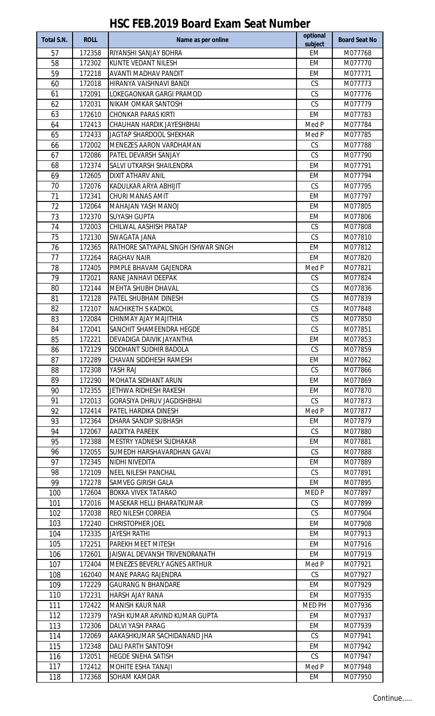| Total S.N. | <b>ROLL</b>      | Name as per online                               | optional<br>subject | <b>Board Seat No</b> |
|------------|------------------|--------------------------------------------------|---------------------|----------------------|
| 57         | 172358           | RIYANSHI SANJAY BOHRA                            | <b>EM</b>           | M077768              |
| 58         | 172302           | KUNTE VEDANT NILESH                              | <b>EM</b>           | M077770              |
| 59         | 172218           | AVANTI MADHAV PANDIT                             | <b>EM</b>           | M077771              |
| 60         | 172018           | HIRANYA VAISHNAVI BANDI                          | CS                  | M077773              |
| 61         | 172091           | LOKEGAONKAR GARGI PRAMOD                         | CS                  | M077776              |
| 62         | 172031           | NIKAM OMKAR SANTOSH                              | CS                  | M077779              |
| 63         | 172610           | <b>CHONKAR PARAS KIRTI</b>                       | <b>EM</b>           | M077783              |
| 64         | 172413           | CHAUHAN HARDIK JAYESHBHAI                        | Med P               | M077784              |
| 65         | 172433           | JAGTAP SHARDOOL SHEKHAR                          | Med P               | M077785              |
| 66         | 172002           | MENEZES AARON VARDHAMAN                          | CS                  | M077788              |
| 67         | 172086           | PATEL DEVARSH SANJAY                             | CS                  | M077790              |
| 68         | 172374           | SALVI UTKARSH SHAILENDRA                         | <b>EM</b>           | M077791              |
| 69         | 172605           | <b>DIXIT ATHARV ANIL</b>                         | <b>EM</b>           | M077794              |
| 70         | 172076           | KADULKAR ARYA ABHIJIT                            | CS                  | M077795              |
| 71         | 172341           | CHURI MANAS AMIT                                 | <b>EM</b>           | M077797              |
| 72         | 172064           | MAHAJAN YASH MANOJ                               | <b>EM</b>           | M077805              |
| 73         | 172370           | <b>SUYASH GUPTA</b>                              | <b>EM</b>           | M077806              |
| 74         | 172003           | CHILWAL AASHISH PRATAP                           | CS                  | M077808              |
| 75         | 172130           | SWAGATA JANA                                     | CS                  | M077810              |
| 76         | 172365           | RATHORE SATYAPAL SINGH ISHWAR SINGH              | <b>EM</b>           | M077812              |
| 77         | 172264           | RAGHAV NAIR                                      | <b>EM</b>           | M077820              |
| 78<br>79   | 172405<br>172021 | PIMPLE BHAVAM GAJENDRA<br>RANE JANHAVI DEEPAK    | Med P<br>CS         | M077821<br>M077824   |
| 80         | 172144           | MEHTA SHUBH DHAVAL                               | CS                  | M077836              |
| 81         | 172128           | PATEL SHUBHAM DINESH                             | CS                  | M077839              |
| 82         | 172107           | NACHIKETH S KADKOL                               | CS                  | M077848              |
| 83         | 172084           | CHINMAY AJAY MAJITHIA                            | CS                  | M077850              |
| 84         | 172041           | SANCHIT SHAMEENDRA HEGDE                         | CS                  | M077851              |
| 85         | 172221           | DEVADIGA DAIVIK JAYANTHA                         | <b>EM</b>           | M077853              |
| 86         | 172129           | SIDDHANT SUDHIR BADOLA                           | CS                  | M077859              |
| 87         | 172289           | CHAVAN SIDDHESH RAMESH                           | EM                  | M077862              |
| 88         | 172308           | YASH RAJ                                         | CS                  | M077866              |
| 89         | 172290           | MOHATA SIDHANT ARUN                              | EM                  | M077869              |
| 90         | 172355           | JETHWA RIDHESH RAKESH                            | EM                  | M077870              |
| 91         | 172013           | <b>GORASIYA DHRUV JAGDISHBHAI</b>                | <b>CS</b>           | M077873              |
| 92         | 172414           | PATEL HARDIKA DINESH                             | Med P               | M077877              |
| 93         | 172364           | DHARA SANDIP SUBHASH                             | EM                  | M077879              |
| 94         | 172067           | AADITYA PAREEK                                   | CS                  | M077880              |
| 95         | 172388           | MESTRY YADNESH SUDHAKAR                          | EM                  | M077881              |
| 96         | 172055           | SUMEDH HARSHAVARDHAN GAVAI                       | CS                  | M077888              |
| 97         | 172345           | NIDHI NIVEDITA                                   | EM                  | M077889              |
| 98         | 172109           | NEEL NILESH PANCHAL                              | CS                  | M077891              |
| 99         | 172278           | SAMVEG GIRISH GALA                               | EM                  | M077895              |
| 100        | 172604           | BOKKA VIVEK TATARAO                              | MED <sub>P</sub>    | M077897              |
| 101        | 172016           | MASEKAR HELLI BHARATKUMAR                        | CS                  | M077899              |
| 102        | 172038           | REO NILESH CORREIA                               | CS                  | M077904              |
| 103        | 172240           | CHRISTOPHER JOEL                                 | EM                  | M077908              |
| 104        | 172335           | <b>JAYESH RATHI</b>                              | EM                  | M077913              |
| 105        | 172251           | PAREKH MEET MITESH                               | EM                  | M077916              |
| 106        | 172601           | JAISWAL DEVANSH TRIVENDRANATH                    | EM                  | M077919              |
| 107        | 172404           | MENEZES BEVERLY AGNES ARTHUR                     | Med P               | M077921              |
| 108<br>109 | 162040<br>172229 | MANE PARAG RAJENDRA<br><b>GAURANG N BHANDARE</b> | CS<br>EM            | M077927<br>M077929   |
| 110        | 172231           | HARSH AJAY RANA                                  | EM                  | M077935              |
| 111        | 172422           | MANISH KAUR NAR                                  | MED PH              | M077936              |
| 112        | 172379           | YASH KUMAR ARVIND KUMAR GUPTA                    | EM                  | M077937              |
| 113        | 172306           | <b>DALVI YASH PARAG</b>                          | EM                  | M077939              |
| 114        | 172069           | AAKASHKUMAR SACHIDANAND JHA                      | CS                  | M077941              |
| 115        | 172348           | <b>DALI PARTH SANTOSH</b>                        | EM                  | M077942              |
| 116        | 172051           | HEGDE SNEHA SATISH                               | CS                  | M077947              |
| 117        | 172412           | MOHITE ESHA TANAJI                               | Med P               | M077948              |
| 118        | 172368           | SOHAM KAMDAR                                     | EM                  | M077950              |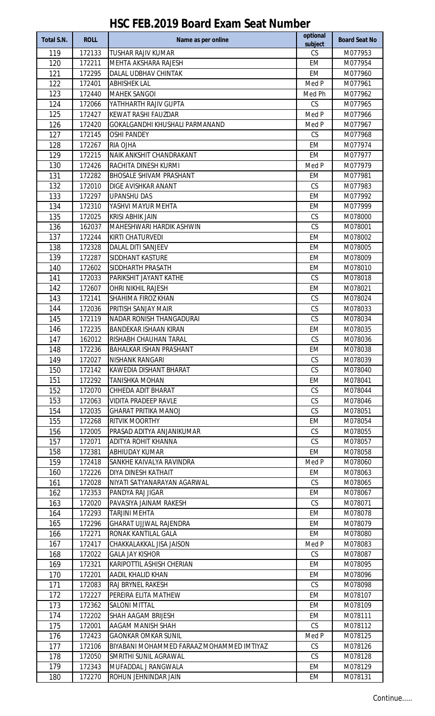| Total S.N. | <b>ROLL</b>      | Name as per online                          | optional<br>subject | <b>Board Seat No</b> |
|------------|------------------|---------------------------------------------|---------------------|----------------------|
| 119        | 172133           | <b>TUSHAR RAJIV KUMAR</b>                   | CS                  | M077953              |
| 120        | 172211           | MEHTA AKSHARA RAJESH                        | <b>EM</b>           | M077954              |
| 121        | 172295           | DALAL UDBHAV CHINTAK                        | EM                  | M077960              |
| 122        | 172401           | <b>ABHISHEK LAL</b>                         | Med P               | M077961              |
| 123        | 172440           | <b>MAHEK SANGOI</b>                         | Med Ph              | M077962              |
| 124        | 172066           | YATHHARTH RAJIV GUPTA                       | CS                  | M077965              |
| 125        | 172427           | KEWAT RASHI FAUZDAR                         | Med P               | M077966              |
| 126        | 172420           | GOKALGANDHI KHUSHALI PARMANAND              | Med P               | M077967              |
| 127        | 172145           | <b>OSHI PANDEY</b>                          | CS                  | M077968              |
| 128        | 172267           | RIA OJHA                                    | <b>EM</b>           | M077974              |
| 129        | 172215           | NAIK ANKSHIT CHANDRAKANT                    | <b>EM</b>           | M077977              |
| 130        | 172426           | RACHITA DINESH KURMI                        | Med P               | M077979              |
| 131        | 172282           | <b>BHOSALE SHIVAM PRASHANT</b>              | <b>EM</b>           | M077981              |
| 132        | 172010           | DIGE AVISHKAR ANANT                         | CS                  | M077983              |
| 133        | 172297           | <b>UPANSHU DAS</b>                          | <b>EM</b>           | M077992              |
| 134        | 172310           | YASHVI MAYUR MEHTA                          | <b>EM</b>           | M077999              |
| 135        | 172025           | KRISI ABHIK JAIN                            | CS                  | M078000              |
| 136        | 162037           | MAHESHWARI HARDIK ASHWIN                    | CS                  | M078001              |
| 137        | 172244           | KIRTI CHATURVEDI                            | <b>EM</b>           | M078002              |
| 138        | 172328           | DALAL DITI SANJEEV                          | <b>EM</b>           | M078005              |
| 139        | 172287           | SIDDHANT KASTURE                            | <b>EM</b>           | M078009              |
| 140        | 172602<br>172033 | SIDDHARTH PRASATH<br>PARIKSHIT JAYANT KATHE | <b>EM</b><br>CS     | M078010<br>M078018   |
| 141<br>142 | 172607           | OHRI NIKHIL RAJESH                          | <b>EM</b>           | M078021              |
| 143        | 172141           | SHAHIMA FIROZ KHAN                          | CS                  | M078024              |
| 144        | 172036           | PRITISH SANJAY MAIR                         | CS                  | M078033              |
| 145        | 172119           | NADAR RONISH THANGADURAI                    | CS                  | M078034              |
| 146        | 172235           | <b>BANDEKAR ISHAAN KIRAN</b>                | <b>EM</b>           | M078035              |
| 147        | 162012           | RISHABH CHAUHAN TARAL                       | CS                  | M078036              |
| 148        | 172236           | <b>BAHALKAR ISHAN PRASHANT</b>              | EM                  | M078038              |
| 149        | 172027           | NISHANK RANGARI                             | <b>CS</b>           | M078039              |
| 150        | 172142           | KAWEDIA DISHANT BHARAT                      | CS                  | M078040              |
| 151        | 172292           | <b>TANISHKA MOHAN</b>                       | EM                  | M078041              |
| 152        | 172070           | CHHEDA ADIT BHARAT                          | <b>CS</b>           | M078044              |
| 153        | 172063           | VIDITA PRADEEP RAVLE                        | CS                  | M078046              |
| 154        | 172035           | <b>GHARAT PRITIKA MANOJ</b>                 | CS                  | M078051              |
| 155        | 172268           | RITVIK MOORTHY                              | EM                  | M078054              |
| 156        | 172005           | PRASAD ADITYA ANJANIKUMAR                   | CS                  | M078055              |
| 157        | 172071           | ADITYA ROHIT KHANNA                         | CS                  | M078057              |
| 158        | 172381           | ABHIUDAY KUMAR                              | EM                  | M078058              |
| 159        | 172418           | SANKHE KAIVALYA RAVINDRA                    | Med P               | M078060              |
| 160        | 172226           | DIYA DINESH KATHAIT                         | EM                  | M078063              |
| 161        | 172028           | NIYATI SATYANARAYAN AGARWAL                 | CS                  | M078065              |
| 162        | 172353           | PANDYA RAJ JIGAR                            | EM                  | M078067              |
| 163        | 172020           | PAVASIYA JAINAM RAKESH                      | CS                  | M078071              |
| 164        | 172293           | <b>TARJINI MEHTA</b>                        | EM                  | M078078              |
| 165        | 172296           | <b>GHARAT UJJWAL RAJENDRA</b>               | EM                  | M078079              |
| 166        | 172271           | RONAK KANTILAL GALA                         | <b>EM</b>           | M078080              |
| 167        | 172417           | CHAKKALAKKAL JISA JAISON                    | Med P               | M078083              |
| 168        | 172022           | <b>GALA JAY KISHOR</b>                      | <b>CS</b>           | M078087              |
| 169        | 172321           | KARIPOTTIL ASHISH CHERIAN                   | EM                  | M078095              |
| 170<br>171 | 172201<br>172083 | AADIL KHALID KHAN<br>RAJ BRYNEL RAKESH      | EM<br>CS            | M078096<br>M078098   |
| 172        | 172227           | PEREIRA ELITA MATHEW                        | EM                  | M078107              |
| 173        | 172362           | <b>SALONI MITTAL</b>                        | EM                  | M078109              |
| 174        | 172202           | SHAH AAGAM BRIJESH                          | EM                  | M078111              |
| 175        | 172001           | AAGAM MANISH SHAH                           | CS                  | M078112              |
| 176        | 172423           | <b>GAONKAR OMKAR SUNIL</b>                  | Med P               | M078125              |
| 177        | 172106           | BIYABANI MOHAMMED FARAAZ MOHAMMED IMTIYAZ   | <b>CS</b>           | M078126              |
| 178        | 172050           | SMRITHI SUNIL AGRAWAL                       | CS                  | M078128              |
| 179        | 172343           | MUFADDAL J RANGWALA                         | EM                  | M078129              |
| 180        | 172270           | ROHUN JEHNINDAR JAIN                        | EM                  | M078131              |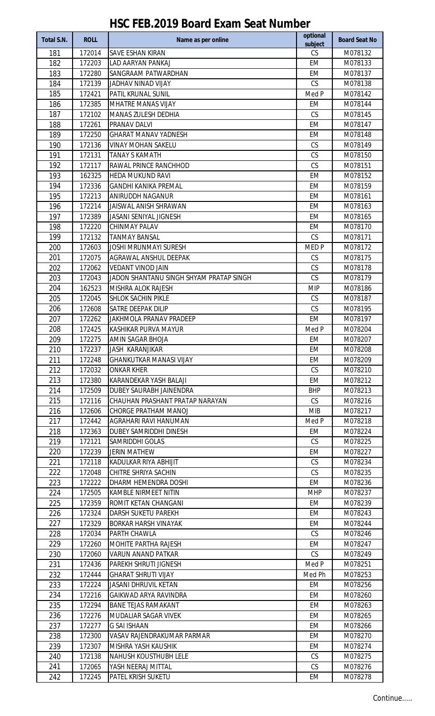| <b>Total S.N.</b> | <b>ROLL</b> | Name as per online                      | optional         | <b>Board Seat No</b> |
|-------------------|-------------|-----------------------------------------|------------------|----------------------|
| 181               | 172014      | SAVE ESHAN KIRAN                        | subject<br>CS    | M078132              |
| 182               | 172203      | <b>LAD AARYAN PANKAJ</b>                | <b>EM</b>        | M078133              |
| 183               | 172280      | SANGRAAM PATWARDHAN                     | <b>EM</b>        | M078137              |
| 184               | 172139      | JADHAV NINAD VIJAY                      | CS               | M078138              |
| 185               | 172421      | PATIL KRUNAL SUNIL                      | Med P            | M078142              |
| 186               | 172385      | MHATRE MANAS VIJAY                      | EM               | M078144              |
| 187               | 172102      | <b>MANAS ZULESH DEDHIA</b>              | CS               | M078145              |
| 188               | 172261      | PRANAV DALVI                            | <b>EM</b>        | M078147              |
| 189               | 172250      | <b>GHARAT MANAV YADNESH</b>             | <b>EM</b>        | M078148              |
| 190               | 172136      | <b>VINAY MOHAN SAKELU</b>               | CS               | M078149              |
| 191               | 172131      | <b>TANAY S KAMATH</b>                   | CS               | M078150              |
| 192               | 172117      | RAWAL PRINCE RANCHHOD                   | CS               | M078151              |
| 193               | 162325      | <b>HEDA MUKUND RAVI</b>                 | <b>EM</b>        | M078152              |
| 194               | 172336      | <b>GANDHI KANIKA PREMAL</b>             | <b>EM</b>        | M078159              |
| 195               | 172213      | ANIRUDDH NAGANUR                        | <b>EM</b>        | M078161              |
| 196               | 172214      | JAISWAL ANISH SHRAWAN                   | <b>EM</b>        | M078163              |
| 197               | 172389      | JASANI SENIYAL JIGNESH                  | EM               | M078165              |
| 198               | 172220      | CHINMAY PALAV                           | <b>EM</b>        | M078170              |
| 199               | 172132      | <b>TANMAY BANSAL</b>                    | CS               | M078171              |
| 200               | 172603      | <b>JOSHI MRUNMAYI SURESH</b>            | MED <sub>P</sub> | M078172              |
| 201               | 172075      | AGRAWAL ANSHUL DEEPAK                   | CS               | M078175              |
| 202               | 172062      | <b>VEDANT VINOD JAIN</b>                | CS               | M078178              |
| 203               | 172043      | JADON SHANTANU SINGH SHYAM PRATAP SINGH | CS               | M078179              |
| 204               | 162523      | MISHRA ALOK RAJESH                      | <b>MIP</b>       | M078186              |
| 205               | 172045      | SHLOK SACHIN PIKLE                      | CS               | M078187              |
| 206               | 172608      | SATRE DEEPAK DILIP                      | CS               | M078195              |
| 207               | 172262      | JAKHMOLA PRANAV PRADEEP                 | <b>EM</b>        | M078197              |
| 208               | 172425      | KASHIKAR PURVA MAYUR                    | Med P            | M078204              |
| 209               | 172275      | AMIN SAGAR BHOJA                        | <b>EM</b>        | M078207              |
| 210               | 172237      | JASH KARANJIKAR                         | EM               | M078208              |
| 211               | 172248      | <b>GHANKUTKAR MANASI VIJAY</b>          | EM               | M078209              |
| 212               | 172032      | <b>ONKAR KHER</b>                       | CS               | M078210              |
| 213               | 172380      | KARANDEKAR YASH BALAJI                  | EM               | M078212              |
| 214               | 172509      | DUBEY SAURABH JAINENDRA                 | <b>BHP</b>       | M078213              |
| 215               | 172116      | CHAUHAN PRASHANT PRATAP NARAYAN         | CS               | M078216              |
| 216               | 172606      | <b>CHORGE PRATHAM MANOJ</b>             | <b>MIB</b>       | M078217              |
| 217               | 172442      | AGRAHARI RAVI HANUMAN                   | Med P            | M078218              |
| 218               | 172363      | DUBEY SAMRIDDHI DINESH                  | EM               | M078224              |
| 219               | 172121      | SAMRIDDHI GOLAS                         | CS               | M078225              |
| 220               | 172239      | <b>JERIN MATHEW</b>                     | EM               | M078227              |
| 221               | 172118      | KADULKAR RIYA ABHIJIT                   | CS               | M078234              |
| 222               | 172048      | CHITRE SHRIYA SACHIN                    | CS               | M078235              |
| 223               | 172222      | DHARM HEMENDRA DOSHI                    | EM               | M078236              |
| 224               | 172505      | KAMBLE NIRMEET NITIN                    | <b>MHP</b>       | M078237              |
| 225               | 172359      | ROMIT KETAN CHANGANI                    | EM               | M078239              |
| 226               | 172324      | DARSH SUKETU PAREKH                     | EM               | M078243              |
| 227               | 172329      | BORKAR HARSH VINAYAK                    | EM               | M078244              |
| 228               | 172034      | PARTH CHAWLA                            | <b>CS</b>        | M078246              |
| 229               | 172260      | MOHITE PARTHA RAJESH                    | EM               | M078247              |
| 230               | 172060      | VARUN ANAND PATKAR                      | CS               | M078249              |
| 231               | 172436      | PAREKH SHRUTI JIGNESH                   | Med P            | M078251              |
| 232               | 172444      | <b>GHARAT SHRUTI VIJAY</b>              | Med Ph           | M078253              |
| 233               | 172224      | JASANI DHRUVIL KETAN                    | EM               | M078256              |
| 234               | 172216      | GAIKWAD ARYA RAVINDRA                   | <b>EM</b>        | M078260              |
| 235               | 172294      | <b>BANE TEJAS RAMAKANT</b>              | EM               | M078263              |
| 236               | 172276      | MUDALIAR SAGAR VIVEK                    | EM               | M078265              |
| 237               | 172277      | <b>G SAI ISHAAN</b>                     | EM               | M078266              |
| 238               | 172300      | VASAV RAJENDRAKUMAR PARMAR              | EM               | M078270              |
| 239               | 172307      | MISHRA YASH KAUSHIK                     | EM               | M078274              |
| 240               | 172138      | <b>NAHUSH KOUSTHUBH LELE</b>            | CS               | M078275              |
| 241               | 172065      | YASH NEERAJ MITTAL                      | CS               | M078276              |
| 242               | 172245      | PATEL KRISH SUKETU                      | EM               | M078278              |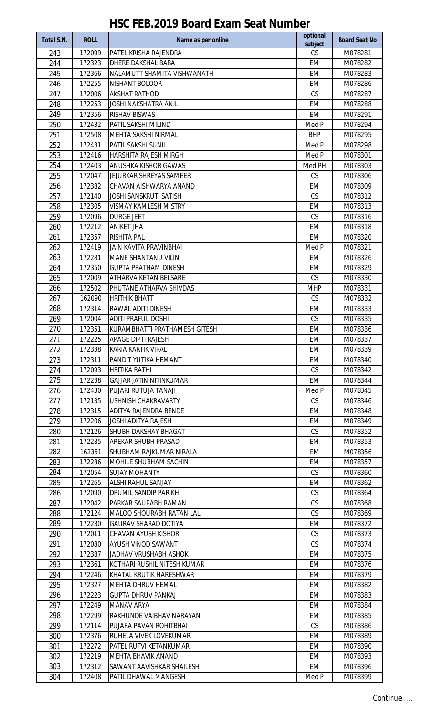| Total S.N. | <b>ROLL</b>      | Name as per online                           | optional<br>subject | <b>Board Seat No</b> |
|------------|------------------|----------------------------------------------|---------------------|----------------------|
| 243        | 172099           | PATEL KRISHA RAJENDRA                        | CS                  | M078281              |
| 244        | 172323           | DHERE DAKSHAL BABA                           | <b>EM</b>           | M078282              |
| 245        | 172366           | NALAMUTT SHAMITA VISHWANATH                  | <b>EM</b>           | M078283              |
| 246        | 172255           | NISHANT BOLOOR                               | <b>EM</b>           | M078286              |
| 247        | 172006           | <b>AKSHAT RATHOD</b>                         | CS                  | M078287              |
| 248        | 172253           | <b>JOSHI NAKSHATRA ANIL</b>                  | EM                  | M078288              |
| 249        | 172356           | RISHAV BISWAS                                | <b>EM</b>           | M078291              |
| 250        | 172432           | PATIL SAKSHI MILIND                          | Med P               | M078294              |
| 251        | 172508           | MEHTA SAKSHI NIRMAL                          | <b>BHP</b>          | M078295              |
| 252        | 172431           | PATIL SAKSHI SUNIL                           | Med P               | M078298              |
| 253        | 172416           | HARSHITA RAJESH MIRGH                        | Med P               | M078301              |
| 254        | 172403           | ANUSHKA KISHOR GAWAS                         | Med PH              | M078303              |
| 255        | 172047           | JEJURKAR SHREYAS SAMEER                      | CS                  | M078306              |
| 256        | 172382           | CHAVAN AISHWARYA ANAND                       | <b>EM</b>           | M078309              |
| 257        | 172140           | JOSHI SANSKRUTI SATISH                       | CS                  | M078312              |
| 258        | 172305           | <b>VISMAY KAMLESH MISTRY</b>                 | EM                  | M078313              |
| 259        | 172096           | <b>DURGE JEET</b>                            | CS                  | M078316              |
| 260        | 172212           | <b>ANIKET JHA</b>                            | <b>EM</b>           | M078318              |
| 261        | 172357           | <b>RISHITA PAL</b>                           | <b>EM</b>           | M078320              |
| 262        | 172419           | <b>JAIN KAVITA PRAVINBHAI</b>                | Med P               | M078321              |
| 263        | 172281           | MANE SHANTANU VILIN                          | <b>EM</b>           | M078326              |
| 264        | 172350           | <b>GUPTA PRATHAM DINESH</b>                  | <b>EM</b>           | M078329              |
| 265        | 172009           | ATHARVA KETAN BELSARE                        | CS                  | M078330              |
| 266        | 172502           | PHUTANE ATHARVA SHIVDAS                      | <b>MHP</b>          | M078331              |
| 267        | 162090           | <b>HRITHIK BHATT</b>                         | CS                  | M078332              |
| 268        | 172314           | RAWAL ADITI DINESH                           | EM                  | M078333              |
| 269        | 172004           | <b>ADITI PRAFUL DOSHI</b>                    | CS                  | M078335              |
| 270        | 172351           | KURAMBHATTI PRATHAMESH GITESH                | <b>EM</b>           | M078336              |
| 271        | 172225           | <b>APAGE DIPTI RAJESH</b>                    | EM                  | M078337              |
| 272        | 172338           | KARIA KARTIK VIRAL                           | EM                  | M078339              |
| 273<br>274 | 172311<br>172093 | PANDIT YUTIKA HEMANT<br><b>HRITIKA RATHI</b> | EM<br><b>CS</b>     | M078340<br>M078342   |
| 275        | 172238           | <b>GAJJAR JATIN NITINKUMAR</b>               | EM                  | M078344              |
| 276        | 172430           | PUJARI RUTUJA TANAJI                         | Med P               | M078345              |
| 277        | 172135           | USHNISH CHAKRAVARTY                          | CS                  | M078346              |
| 278        | 172315           | ADITYA RAJENDRA BENDE                        | EM                  | M078348              |
| 279        | 172206           | <b>JOSHI ADITYA RAJESH</b>                   | EM                  | M078349              |
| 280        | 172126           | SHUBH DAKSHAY BHAGAT                         | CS                  | M078352              |
| 281        | 172285           | AREKAR SHUBH PRASAD                          | EM                  | M078353              |
| 282        | 162351           | SHUBHAM RAJKUMAR NIRALA                      | EM                  | M078356              |
| 283        | 172286           | MOHILE SHUBHAM SACHIN                        | EM                  | M078357              |
| 284        | 172054           | <b>SUJAY MOHANTY</b>                         | <b>CS</b>           | M078360              |
| 285        | 172265           | <b>ALSHI RAHUL SANJAY</b>                    | EM                  | M078362              |
| 286        | 172090           | DRUMIL SANDIP PARIKH                         | <b>CS</b>           | M078364              |
| 287        | 172042           | PARKAR SAURABH RAMAN                         | CS                  | M078368              |
| 288        | 172124           | MALOO SHOURABH RATAN LAL                     | CS                  | M078369              |
| 289        | 172230           | <b>GAURAV SHARAD DOTIYA</b>                  | EM                  | M078372              |
| 290        | 172011           | CHAVAN AYUSH KISHOR                          | CS                  | M078373              |
| 291        | 172080           | AYUSH VINOD SAWANT                           | <b>CS</b>           | M078374              |
| 292        | 172387           | JADHAV VRUSHABH ASHOK                        | EM                  | M078375              |
| 293        | 172361           | KOTHARI RUSHIL NITESH KUMAR                  | EM                  | M078376              |
| 294        | 172246           | KHATAL KRUTIK HARESHWAR                      | EM                  | M078379              |
| 295        | 172327           | <b>MEHTA DHRUV HEMAL</b>                     | EM                  | M078382              |
| 296        | 172223           | <b>GUPTA DHRUV PANKAJ</b>                    | EM                  | M078383              |
| 297        | 172249           | MANAV ARYA                                   | EM                  | M078384              |
| 298        | 172299           | RAKHUNDE VAIBHAV NARAYAN                     | EM                  | M078385              |
| 299        | 172114           | PUJARA PAVAN ROHITBHAI                       | <b>CS</b>           | M078386              |
| 300        | 172376           | RUHELA VIVEK LOVEKUMAR                       | EM                  | M078389              |
| 301        | 172272           | PATEL RUTVI KETANKUMAR                       | EM                  | M078390              |
| 302        | 172219           | MEHTA BHAVIK ANAND                           | EM                  | M078393              |
| 303        | 172312           | SAWANT AAVISHKAR SHAILESH                    | EM.                 | M078396              |
| 304        | 172408           | PATIL DHAWAL MANGESH                         | Med P               | M078399              |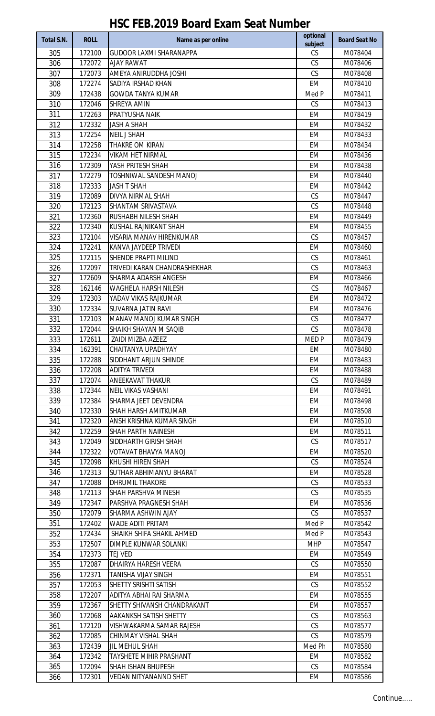| Total S.N. | <b>ROLL</b>      | Name as per online                                   | optional<br>subject | <b>Board Seat No</b> |
|------------|------------------|------------------------------------------------------|---------------------|----------------------|
| 305        | 172100           | <b>GUDOOR LAXMI SHARANAPPA</b>                       | CS                  | M078404              |
| 306        | 172072           | <b>AJAY RAWAT</b>                                    | CS                  | M078406              |
| 307        | 172073           | AMEYA ANIRUDDHA JOSHI                                | CS                  | M078408              |
| 308        | 172274           | SADIYA IRSHAD KHAN                                   | <b>EM</b>           | M078410              |
| 309        | 172438           | <b>GOWDA TANYA KUMAR</b>                             | Med P               | M078411              |
| 310        | 172046           | SHREYA AMIN                                          | CS                  | M078413              |
| 311        | 172263           | PRATYUSHA NAIK                                       | <b>EM</b>           | M078419              |
| 312        | 172332           | <b>JASH A SHAH</b>                                   | <b>EM</b>           | M078432              |
| 313        | 172254           | <b>NEIL J SHAH</b>                                   | <b>EM</b>           | M078433              |
| 314        | 172258           | THAKRE OM KIRAN                                      | <b>EM</b>           | M078434              |
| 315        | 172234           | <b>VIKAM HET NIRMAL</b>                              | <b>EM</b>           | M078436              |
| 316        | 172309           | YASH PRITESH SHAH                                    | <b>EM</b>           | M078438              |
| 317        | 172279           | TOSHNIWAL SANDESH MANOJ                              | <b>EM</b>           | M078440              |
| 318        | 172333           | <b>JASH T SHAH</b>                                   | <b>EM</b>           | M078442              |
| 319        | 172089           | DIVYA NIRMAL SHAH                                    | CS                  | M078447              |
| 320        | 172123           | SHANTAM SRIVASTAVA                                   | CS                  | M078448              |
| 321        | 172360           | RUSHABH NILESH SHAH                                  | <b>EM</b>           | M078449              |
| 322        | 172340           | KUSHAL RAJNIKANT SHAH                                | <b>EM</b>           | M078455              |
| 323        | 172104           | <b>VISARIA MANAV HIRENKUMAR</b>                      | CS                  | M078457              |
| 324        | 172241           | KANVA JAYDEEP TRIVEDI                                | <b>EM</b>           | M078460              |
| 325        | 172115           | SHENDE PRAPTI MILIND                                 | CS                  | M078461              |
| 326        | 172097<br>172609 | TRIVEDI KARAN CHANDRASHEKHAR<br>SHARMA ADARSH ANGESH | CS<br><b>EM</b>     | M078463              |
| 327<br>328 |                  | <b>WAGHELA HARSH NILESH</b>                          | CS                  | M078466<br>M078467   |
| 329        | 162146<br>172303 | YADAV VIKAS RAJKUMAR                                 | <b>EM</b>           | M078472              |
| 330        | 172334           | SUVARNA JATIN RAVI                                   | <b>EM</b>           | M078476              |
| 331        | 172103           | MANAV MANOJ KUMAR SINGH                              | CS                  | M078477              |
| 332        | 172044           | SHAIKH SHAYAN M SAQIB                                | CS                  | M078478              |
| 333        | 172611           | ZAIDI MIZBA AZEEZ                                    | MED <sub>P</sub>    | M078479              |
| 334        | 162391           | CHAITANYA UPADHYAY                                   | EM                  | M078480              |
| 335        | 172288           | SIDDHANT ARJUN SHINDE                                | EM                  | M078483              |
| 336        | 172208           | ADITYA TRIVEDI                                       | EM                  | M078488              |
| 337        | 172074           | ANEEKAVAT THAKUR                                     | CS                  | M078489              |
| 338        | 172344           | <b>NEIL VIKAS VASHANI</b>                            | EM                  | M078491              |
| 339        | 172384           | SHARMA JEET DEVENDRA                                 | EM                  | M078498              |
| 340        | 172330           | SHAH HARSH AMITKUMAR                                 | EM                  | M078508              |
| 341        | 172320           | ANSH KRISHNA KUMAR SINGH                             | EM                  | M078510              |
| 342        | 172259           | SHAH PARTH NAINESH                                   | EM                  | M078511              |
| 343        | 172049           | SIDDHARTH GIRISH SHAH                                | CS                  | M078517              |
| 344        | 172322           | VOTAVAT BHAVYA MANOJ                                 | EM                  | M078520              |
| 345        | 172098           | KHUSHI HIREN SHAH                                    | CS                  | M078524              |
| 346        | 172313           | SUTHAR ABHIMANYU BHARAT                              | EM                  | M078528              |
| 347        | 172088           | DHRUMIL THAKORE                                      | CS                  | M078533              |
| 348        | 172113           | SHAH PARSHVA MINESH                                  | CS                  | M078535              |
| 349        | 172347           | PARSHVA PRAGNESH SHAH                                | EM                  | M078536              |
| 350        | 172079           | SHARMA ASHWIN AJAY                                   | <b>CS</b>           | M078537              |
| 351        | 172402           | WADE ADITI PRITAM                                    | Med P               | M078542              |
| 352        | 172434           | SHAIKH SHIFA SHAKIL AHMED                            | Med P               | M078543              |
| 353        | 172507           | DIMPLE KUNWAR SOLANKI                                | <b>MHP</b>          | M078547              |
| 354        | 172373           | TEJ VED                                              | EM                  | M078549              |
| 355        | 172087           | DHAIRYA HARESH VEERA                                 | <b>CS</b>           | M078550              |
| 356        | 172371           | TANISHA VIJAY SINGH                                  | EM                  | M078551              |
| 357        | 172053           | SHETTY SRISHTI SATISH                                | CS                  | M078552              |
| 358        | 172207           | ADITYA ABHAI RAI SHARMA                              | <b>EM</b>           | M078555              |
| 359        | 172367           | SHETTY SHIVANSH CHANDRAKANT                          | EM                  | M078557              |
| 360<br>361 | 172068<br>172120 | AAKANKSH SATISH SHETTY                               | CS<br>CS            | M078563<br>M078577   |
| 362        | 172085           | VISHWAKARMA SAMAR RAJESH<br>CHINMAY VISHAL SHAH      | CS                  | M078579              |
| 363        | 172439           | JIL MEHUL SHAH                                       | Med Ph              | M078580              |
| 364        | 172342           | TAYSHETE MIHIR PRASHANT                              | EM                  | M078582              |
| 365        | 172094           | <b>SHAH ISHAN BHUPESH</b>                            | CS                  | M078584              |
| 366        | 172301           | VEDAN NITYANANND SHET                                | EM                  | M078586              |
|            |                  |                                                      |                     |                      |